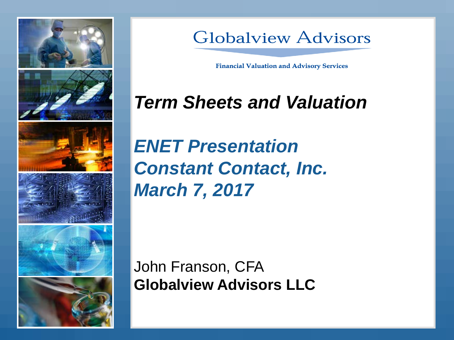

### **Globalview Advisors**

**Financial Valuation and Advisory Services** 

# *Term Sheets and Valuation*

*ENET Presentation Constant Contact, Inc. March 7, 2017*

John Franson, CFA **Globalview Advisors LLC**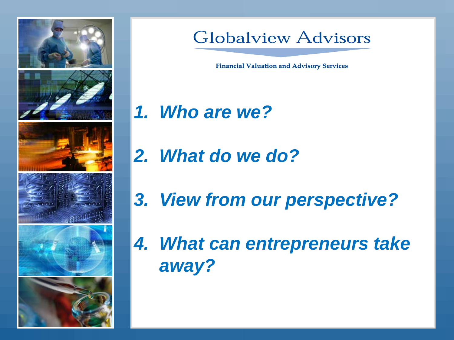

#### **Globalview Advisors**

**Financial Valuation and Advisory Services** 

- *1. Who are we?*
- *2. What do we do?*
- *3. View from our perspective?*
- *4. What can entrepreneurs take away?*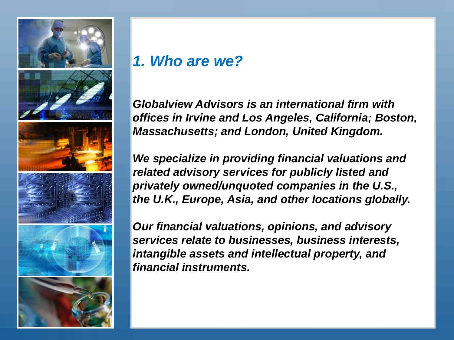

#### *1. Who are we?*

*Globalview Advisors is an international firm with offices in Irvine and Los Angeles, California; Boston, Massachusetts; and London, United Kingdom.*

*We specialize in providing financial valuations and related advisory services for publicly listed and privately owned/unquoted companies in the U.S., the U.K., Europe, Asia, and other locations globally.*

*Our financial valuations, opinions, and advisory services relate to businesses, business interests, intangible assets and intellectual property, and financial instruments.*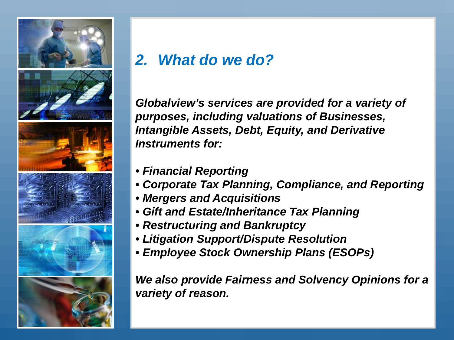

#### *2. What do we do?*

*Globalview's services are provided for a variety of purposes, including valuations of Businesses, Intangible Assets, Debt, Equity, and Derivative Instruments for:*

- *Financial Reporting*
- *Corporate Tax Planning, Compliance, and Reporting*
- *Mergers and Acquisitions*
- *Gift and Estate/Inheritance Tax Planning*
- *Restructuring and Bankruptcy*
- *Litigation Support/Dispute Resolution*
- *Employee Stock Ownership Plans (ESOPs)*

*We also provide Fairness and Solvency Opinions for a variety of reason.*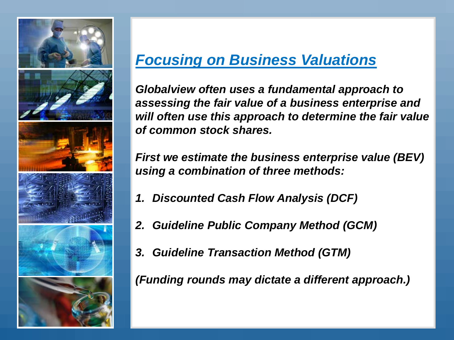

#### *Focusing on Business Valuations*

*Globalview often uses a fundamental approach to assessing the fair value of a business enterprise and will often use this approach to determine the fair value of common stock shares.*

*First we estimate the business enterprise value (BEV) using a combination of three methods:*

- *1. Discounted Cash Flow Analysis (DCF)*
- *2. Guideline Public Company Method (GCM)*
- *3. Guideline Transaction Method (GTM)*

*(Funding rounds may dictate a different approach.)*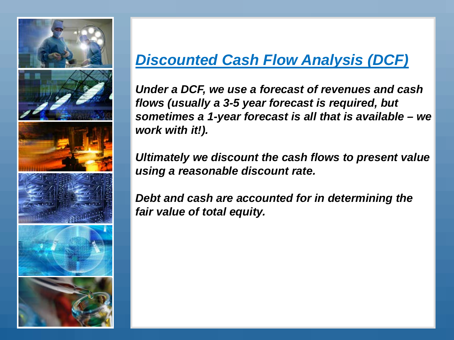

#### *Discounted Cash Flow Analysis (DCF)*

*Under a DCF, we use a forecast of revenues and cash flows (usually a 3-5 year forecast is required, but sometimes a 1-year forecast is all that is available – we work with it!).*

*Ultimately we discount the cash flows to present value using a reasonable discount rate.*

*Debt and cash are accounted for in determining the fair value of total equity.*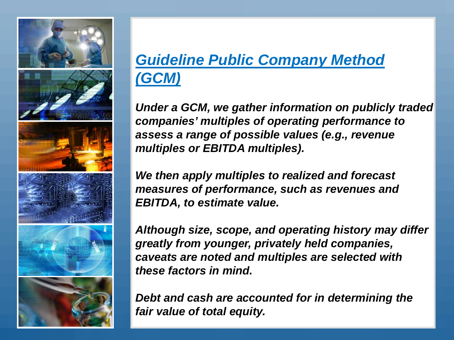

## *Guideline Public Company Method (GCM)*

*Under a GCM, we gather information on publicly traded companies' multiples of operating performance to assess a range of possible values (e.g., revenue multiples or EBITDA multiples).*

*We then apply multiples to realized and forecast measures of performance, such as revenues and EBITDA, to estimate value.*

*Although size, scope, and operating history may differ greatly from younger, privately held companies, caveats are noted and multiples are selected with these factors in mind.*

*Debt and cash are accounted for in determining the fair value of total equity.*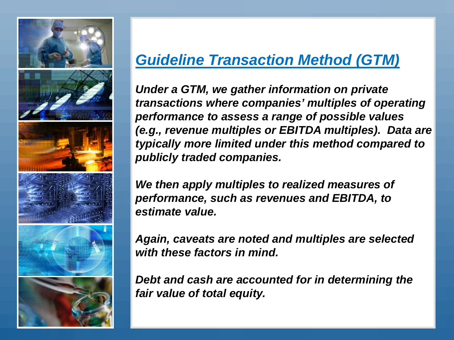

#### *Guideline Transaction Method (GTM)*

*Under a GTM, we gather information on private transactions where companies' multiples of operating performance to assess a range of possible values (e.g., revenue multiples or EBITDA multiples). Data are typically more limited under this method compared to publicly traded companies.*

*We then apply multiples to realized measures of performance, such as revenues and EBITDA, to estimate value.*

*Again, caveats are noted and multiples are selected with these factors in mind.*

*Debt and cash are accounted for in determining the fair value of total equity.*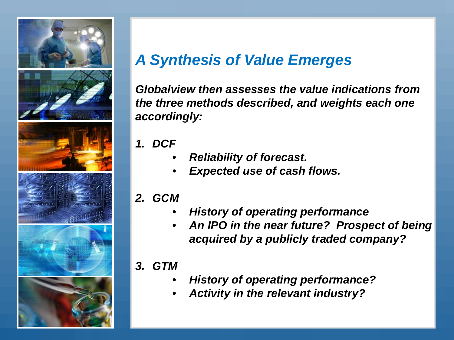

#### *A Synthesis of Value Emerges*

*Globalview then assesses the value indications from the three methods described, and weights each one accordingly:*

- *1. DCF*
	- *Reliability of forecast.*
	- *Expected use of cash flows.*
- *2. GCM*
	- *History of operating performance*
	- *An IPO in the near future? Prospect of being acquired by a publicly traded company?*
- *3. GTM*
	- *History of operating performance?*
	- *Activity in the relevant industry?*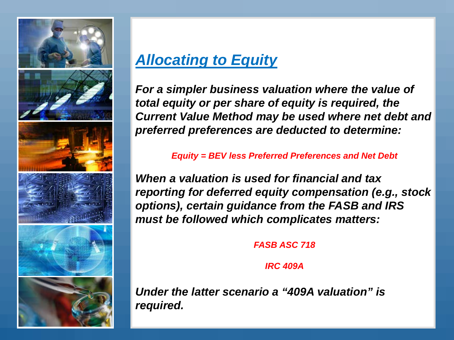

#### *Allocating to Equity*

*For a simpler business valuation where the value of total equity or per share of equity is required, the Current Value Method may be used where net debt and preferred preferences are deducted to determine:*

*Equity = BEV less Preferred Preferences and Net Debt*

*When a valuation is used for financial and tax reporting for deferred equity compensation (e.g., stock options), certain guidance from the FASB and IRS must be followed which complicates matters:*

*FASB ASC 718*

*IRC 409A*

*Under the latter scenario a "409A valuation" is required.*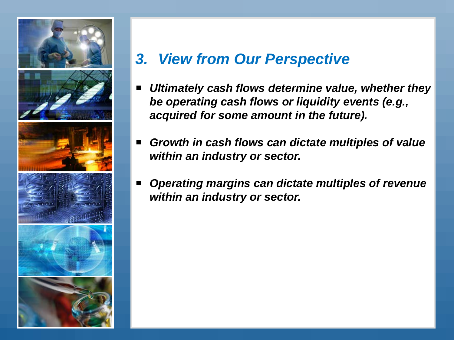

#### *3. View from Our Perspective*

- *Ultimately cash flows determine value, whether they be operating cash flows or liquidity events (e.g., acquired for some amount in the future).*
- *Growth in cash flows can dictate multiples of value within an industry or sector.*
- *Operating margins can dictate multiples of revenue within an industry or sector.*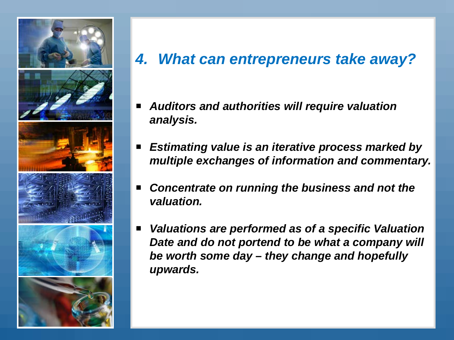

#### *4. What can entrepreneurs take away?*

- *Auditors and authorities will require valuation analysis.*
- *Estimating value is an iterative process marked by multiple exchanges of information and commentary.*
- *Concentrate on running the business and not the valuation.*
- *Valuations are performed as of a specific Valuation Date and do not portend to be what a company will be worth some day – they change and hopefully upwards.*